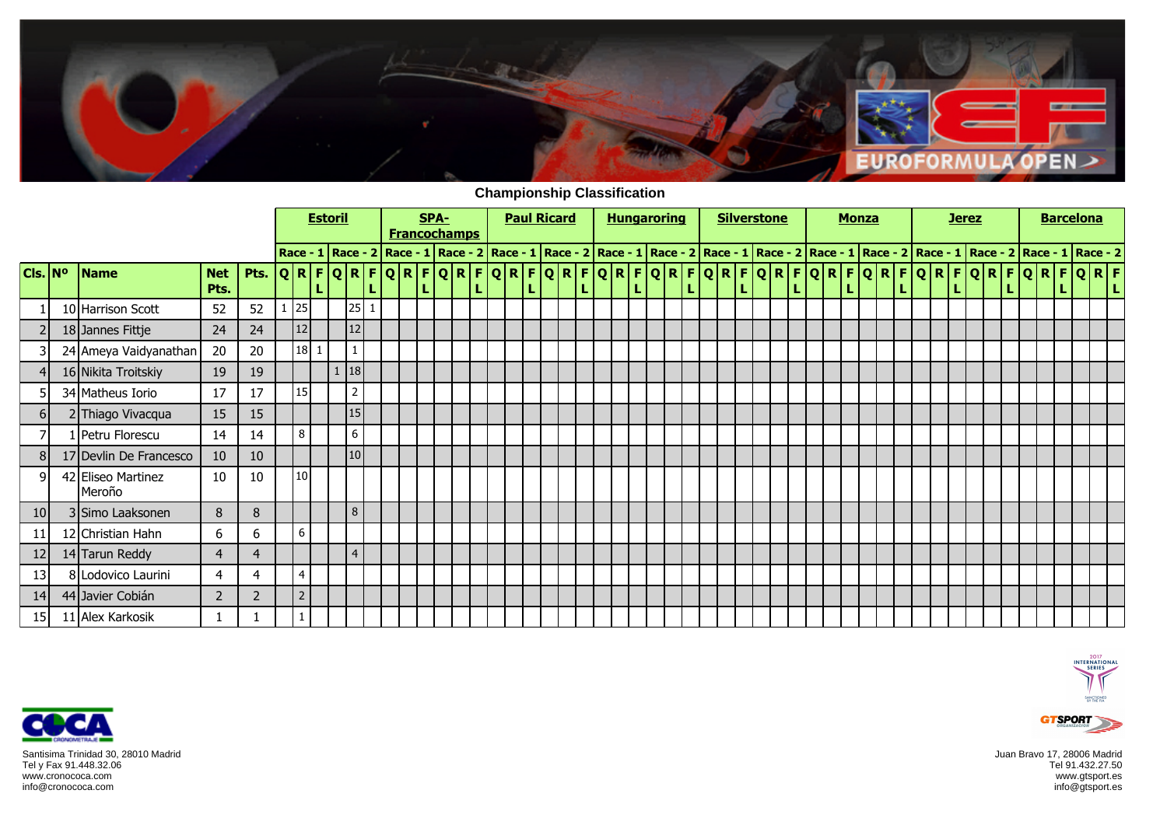

**Championship Classification**

|                             |                              |                    |                |    |                 | <b>Estoril</b> |                |  | SPA-<br><b>Francochamps</b> |  | <b>Paul Ricard</b> |  |  |  | <b>Hungaroring</b>                                                                                                                                                                                                             |  | <b>Silverstone</b> |  |   |  | <b>Monza</b> |  |  | <b>Jerez</b> |  | <b>Barcelona</b> |  |   |
|-----------------------------|------------------------------|--------------------|----------------|----|-----------------|----------------|----------------|--|-----------------------------|--|--------------------|--|--|--|--------------------------------------------------------------------------------------------------------------------------------------------------------------------------------------------------------------------------------|--|--------------------|--|---|--|--------------|--|--|--------------|--|------------------|--|---|
|                             |                              |                    |                |    |                 |                |                |  |                             |  |                    |  |  |  | Race - 1   Race - 2   Race - 1   Race - 2   Race - 1   Race - 2   Race - 1   Race - 2   Race - 2   Race - 2   Race - 2   Race - 2   Race - 2   Race - 1   Race - 2   Race - 1   Race - 2   Race - 1   Race - 2   Race - 1   Ra |  |                    |  |   |  |              |  |  |              |  |                  |  |   |
| $ $ Cls. $ $ N <sup>o</sup> | <b>Name</b>                  | <b>Net</b><br>Pts. | Pts.           |    |                 |                |                |  |                             |  |                    |  |  |  | <u> Q R F Q R F Q R F Q R F Q R F Q R F Q R F Q R F Q R F Q R F Q R F Q R F Q R F Q R F Q R F Q R F </u>                                                                                                                       |  |                    |  | L |  |              |  |  |              |  |                  |  | L |
|                             | 10 Harrison Scott            | 52                 | 52             | 25 |                 |                | 25 1           |  |                             |  |                    |  |  |  |                                                                                                                                                                                                                                |  |                    |  |   |  |              |  |  |              |  |                  |  |   |
|                             | 18 Jannes Fittje             | 24                 | 24             |    | 12              |                | 12             |  |                             |  |                    |  |  |  |                                                                                                                                                                                                                                |  |                    |  |   |  |              |  |  |              |  |                  |  |   |
|                             | 24 Ameya Vaidyanathan        | 20                 | 20             |    | $18$   1        |                |                |  |                             |  |                    |  |  |  |                                                                                                                                                                                                                                |  |                    |  |   |  |              |  |  |              |  |                  |  |   |
|                             | 16 Nikita Troitskiy          | 19                 | 19             |    |                 |                | 18             |  |                             |  |                    |  |  |  |                                                                                                                                                                                                                                |  |                    |  |   |  |              |  |  |              |  |                  |  |   |
|                             | 34 Matheus Iorio             | 17                 | 17             |    | 15 <sup>1</sup> |                | $\overline{2}$ |  |                             |  |                    |  |  |  |                                                                                                                                                                                                                                |  |                    |  |   |  |              |  |  |              |  |                  |  |   |
| 61                          | 2 Thiago Vivacqua            | 15                 | 15             |    |                 |                | 15             |  |                             |  |                    |  |  |  |                                                                                                                                                                                                                                |  |                    |  |   |  |              |  |  |              |  |                  |  |   |
|                             | 1 Petru Florescu             | 14                 | 14             |    | 8               |                | $6\,$          |  |                             |  |                    |  |  |  |                                                                                                                                                                                                                                |  |                    |  |   |  |              |  |  |              |  |                  |  |   |
| 8                           | 17 Devlin De Francesco       | 10                 | 10             |    |                 |                | 10             |  |                             |  |                    |  |  |  |                                                                                                                                                                                                                                |  |                    |  |   |  |              |  |  |              |  |                  |  |   |
| q                           | 42 Eliseo Martinez<br>Meroño | 10                 | 10             |    | 10              |                |                |  |                             |  |                    |  |  |  |                                                                                                                                                                                                                                |  |                    |  |   |  |              |  |  |              |  |                  |  |   |
| 10 <sub>l</sub>             | 3 Simo Laaksonen             | 8                  | 8              |    |                 |                | 8              |  |                             |  |                    |  |  |  |                                                                                                                                                                                                                                |  |                    |  |   |  |              |  |  |              |  |                  |  |   |
| 11                          | 12 Christian Hahn            | 6                  | 6              |    | 6               |                |                |  |                             |  |                    |  |  |  |                                                                                                                                                                                                                                |  |                    |  |   |  |              |  |  |              |  |                  |  |   |
| 12                          | 14 Tarun Reddy               | $\overline{4}$     | $\overline{4}$ |    |                 |                | $\overline{4}$ |  |                             |  |                    |  |  |  |                                                                                                                                                                                                                                |  |                    |  |   |  |              |  |  |              |  |                  |  |   |
| 13                          | 8 Lodovico Laurini           | $\overline{4}$     | 4              |    | $\overline{4}$  |                |                |  |                             |  |                    |  |  |  |                                                                                                                                                                                                                                |  |                    |  |   |  |              |  |  |              |  |                  |  |   |
| 14                          | 44 Javier Cobián             | 2                  | $\overline{2}$ |    | $\overline{2}$  |                |                |  |                             |  |                    |  |  |  |                                                                                                                                                                                                                                |  |                    |  |   |  |              |  |  |              |  |                  |  |   |
| 15                          | 11 Alex Karkosik             |                    |                |    |                 |                |                |  |                             |  |                    |  |  |  |                                                                                                                                                                                                                                |  |                    |  |   |  |              |  |  |              |  |                  |  |   |



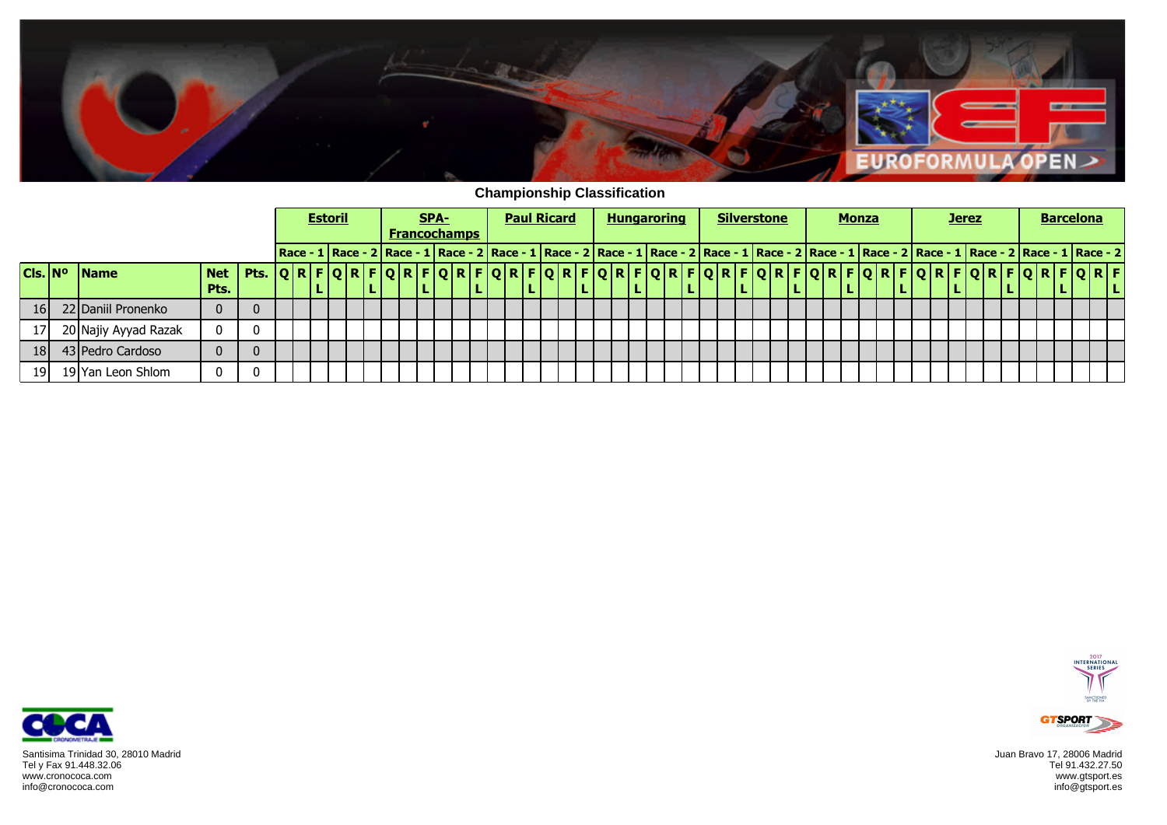

**Championship Classification**

|                     |                      |            |      |                                     | <b>Estoril</b> |  | SPA- | <b>Francochamps</b> |  | <b>Paul Ricard</b> |  |  |  | <b>Hungaroring</b>                                                                                                                                                                                                        |  | <b>Silverstone</b> |  |  | <b>Monza</b> |  |  | <b>Jerez</b> |                         |  |  | <b>Barcelona</b> |  |
|---------------------|----------------------|------------|------|-------------------------------------|----------------|--|------|---------------------|--|--------------------|--|--|--|---------------------------------------------------------------------------------------------------------------------------------------------------------------------------------------------------------------------------|--|--------------------|--|--|--------------|--|--|--------------|-------------------------|--|--|------------------|--|
|                     |                      |            |      |                                     |                |  |      |                     |  |                    |  |  |  | Race - 1   Race - 2   Race - 1   Race - 2   Race - 1   Race - 2   Race - 2   Race - 2   Race - 2   Race - 2   Race - 2   Race - 2   Race - 2   Race - 1   Race - 2   Race - 1   Race - 2   Race - 1   Race - 2   Race - 1 |  |                    |  |  |              |  |  |              |                         |  |  |                  |  |
| Cls. N <sup>o</sup> | <b>IName</b>         | <b>Net</b> | Pts. | $ Q R F Q R F Q R F Q R F Q R F Q $ |                |  |      |                     |  |                    |  |  |  | R F Q R F Q R F Q R F Q R F Q R F Q R                                                                                                                                                                                     |  |                    |  |  |              |  |  |              | O R F O R F O R F O R F |  |  |                  |  |
|                     |                      | Pts.       |      |                                     |                |  | . L. |                     |  |                    |  |  |  |                                                                                                                                                                                                                           |  |                    |  |  |              |  |  | ъ.           |                         |  |  |                  |  |
| <b>16</b>           | 22 Daniil Pronenko   |            |      |                                     |                |  |      |                     |  |                    |  |  |  |                                                                                                                                                                                                                           |  |                    |  |  |              |  |  |              |                         |  |  |                  |  |
|                     | 20 Najiy Ayyad Razak |            |      |                                     |                |  |      |                     |  |                    |  |  |  |                                                                                                                                                                                                                           |  |                    |  |  |              |  |  |              |                         |  |  |                  |  |
| 181                 | 43 Pedro Cardoso     |            |      |                                     |                |  |      |                     |  |                    |  |  |  |                                                                                                                                                                                                                           |  |                    |  |  |              |  |  |              |                         |  |  |                  |  |
| 19 I                | 19 Yan Leon Shlom    |            |      |                                     |                |  |      |                     |  |                    |  |  |  |                                                                                                                                                                                                                           |  |                    |  |  |              |  |  |              |                         |  |  |                  |  |



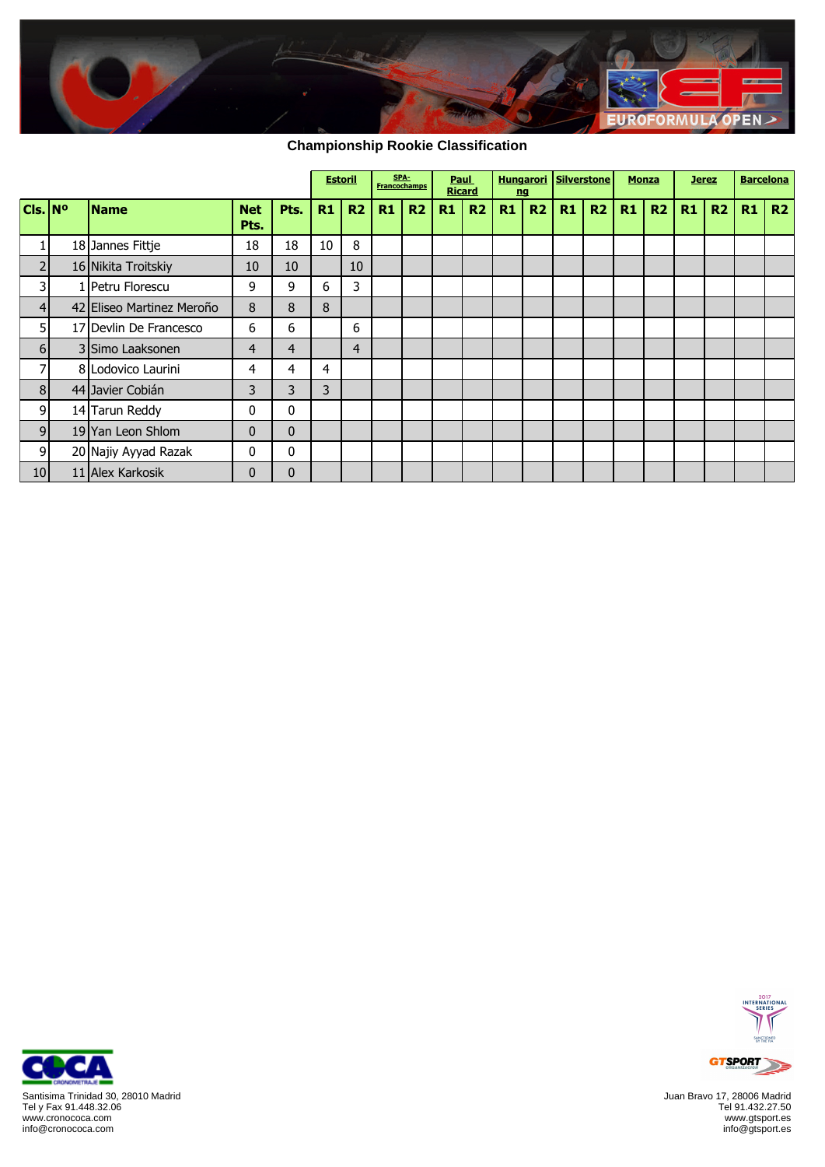

## **Championship Rookie Classification**

|                             |                           |                    |              | <b>Estoril</b> |                | SPA-<br><b>Francochamps</b> |    |    | Paul<br><b>Ricard</b> | nq | <b>Hungarori</b> | Silverstone |    | <b>Monza</b> |    |    | <b>Jerez</b> | <b>Barcelona</b> |    |
|-----------------------------|---------------------------|--------------------|--------------|----------------|----------------|-----------------------------|----|----|-----------------------|----|------------------|-------------|----|--------------|----|----|--------------|------------------|----|
| $ $ Cls. $ $ N <sup>o</sup> | <b>Name</b>               | <b>Net</b><br>Pts. | Pts.         | R1             | R2             | R1                          | R2 | R1 | R2                    | R1 | R2               | R1          | R2 | R1           | R2 | R1 | R2           | R1               | R2 |
|                             | 18 Jannes Fittje          | 18                 | 18           | 10             | 8              |                             |    |    |                       |    |                  |             |    |              |    |    |              |                  |    |
| $\overline{2}$              | 16 Nikita Troitskiy       | 10                 | 10           |                | 10             |                             |    |    |                       |    |                  |             |    |              |    |    |              |                  |    |
| 3                           | Petru Florescu            | 9                  | 9            | 6              | 3              |                             |    |    |                       |    |                  |             |    |              |    |    |              |                  |    |
| 4 <sup>1</sup>              | 42 Eliseo Martinez Meroño | 8                  | 8            | 8              |                |                             |    |    |                       |    |                  |             |    |              |    |    |              |                  |    |
| 5                           | 17 Devlin De Francesco    | 6                  | 6            |                | 6              |                             |    |    |                       |    |                  |             |    |              |    |    |              |                  |    |
| 6 <sup>1</sup>              | 3 Simo Laaksonen          | 4                  | 4            |                | $\overline{4}$ |                             |    |    |                       |    |                  |             |    |              |    |    |              |                  |    |
| 7                           | 8 Lodovico Laurini        | 4                  | 4            | 4              |                |                             |    |    |                       |    |                  |             |    |              |    |    |              |                  |    |
| 8 <sup>1</sup>              | 44 Javier Cobián          | 3                  | 3            | 3              |                |                             |    |    |                       |    |                  |             |    |              |    |    |              |                  |    |
| 9                           | 14 Tarun Reddy            | 0                  | 0            |                |                |                             |    |    |                       |    |                  |             |    |              |    |    |              |                  |    |
| 9                           | 19 Yan Leon Shlom         | $\mathbf{0}$       | $\mathbf{0}$ |                |                |                             |    |    |                       |    |                  |             |    |              |    |    |              |                  |    |
| 9                           | 20 Najiy Ayyad Razak      | 0                  | $\mathbf{0}$ |                |                |                             |    |    |                       |    |                  |             |    |              |    |    |              |                  |    |
| 10 <sup>1</sup>             | 11 Alex Karkosik          | $\mathbf{0}$       | $\mathbf{0}$ |                |                |                             |    |    |                       |    |                  |             |    |              |    |    |              |                  |    |



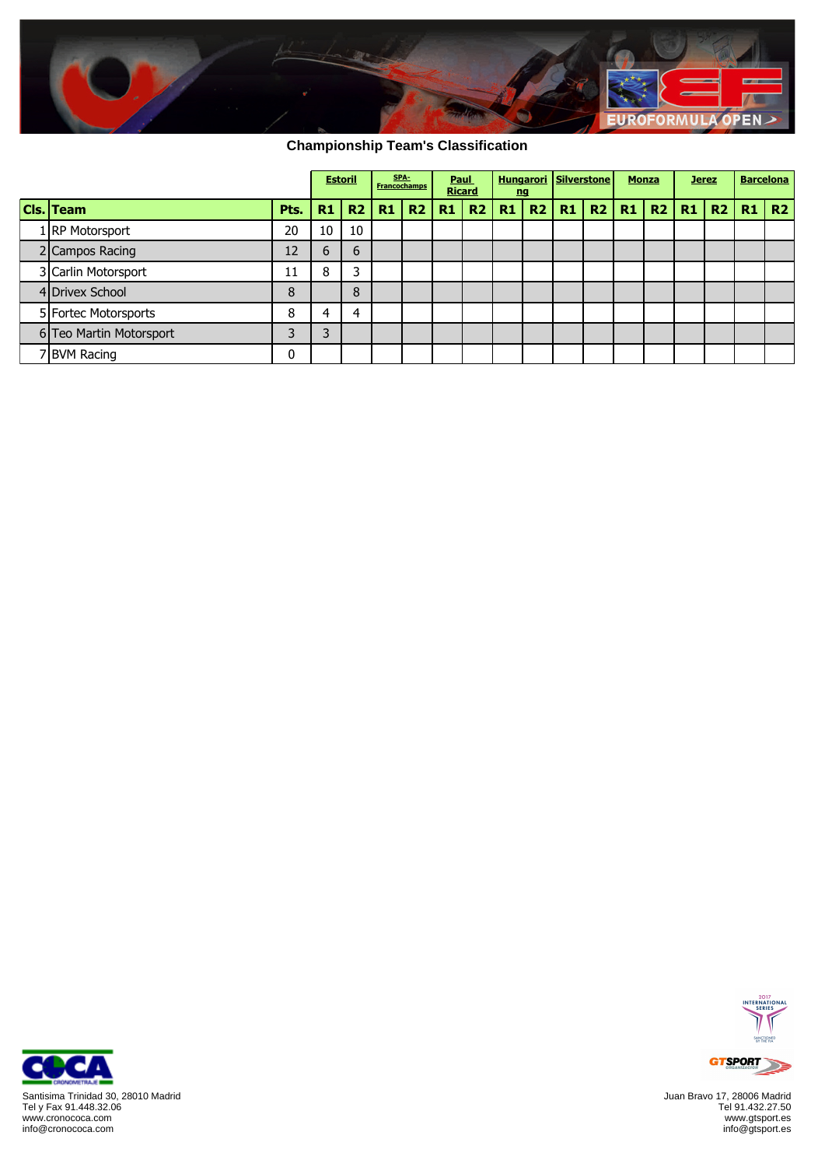

## **Championship Team's Classification**

|                         |      | <b>Estoril</b> |    |    | SPA-<br><b>Francochamps</b> | Paul<br><b>Ricard</b> |                        | nq | <b>Hungarori Silverstone</b> |    | <b>Monza</b> | <b>Jerez</b> |    |           | <b>Barcelona</b> |
|-------------------------|------|----------------|----|----|-----------------------------|-----------------------|------------------------|----|------------------------------|----|--------------|--------------|----|-----------|------------------|
| Cls. Team               | Pts. | R1             | R2 | R1 |                             |                       | R2   R1   R2   R1   R2 |    | R1                           | R2 | R1           | R2   R1      | R2 | $R1$ $R2$ |                  |
| 1 RP Motorsport         | 20   | 10             | 10 |    |                             |                       |                        |    |                              |    |              |              |    |           |                  |
| 2 Campos Racing         | 12   | 6              | 6  |    |                             |                       |                        |    |                              |    |              |              |    |           |                  |
| 3 Carlin Motorsport     | 11   | 8              | っ  |    |                             |                       |                        |    |                              |    |              |              |    |           |                  |
| 4 Drivex School         | 8    |                | 8  |    |                             |                       |                        |    |                              |    |              |              |    |           |                  |
| 5 Fortec Motorsports    | 8    | 4              | 4  |    |                             |                       |                        |    |                              |    |              |              |    |           |                  |
| 6 Teo Martin Motorsport |      | 3              |    |    |                             |                       |                        |    |                              |    |              |              |    |           |                  |
| 7 BVM Racing            |      |                |    |    |                             |                       |                        |    |                              |    |              |              |    |           |                  |



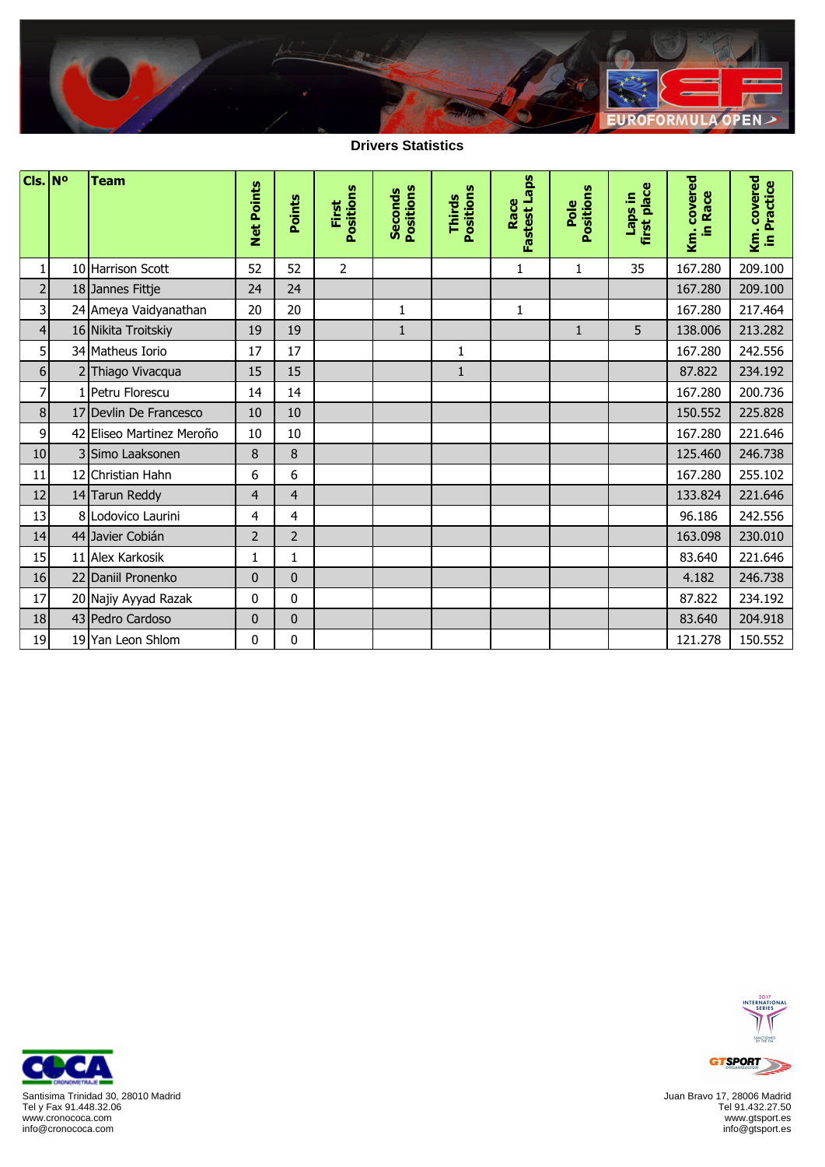

**Drivers Statistics**

Ŧ

| $Cls.$ N <sup>o</sup>   | <b>Team</b>               | <b>Net Points</b> | Points         | Positions<br>First | Positions<br><b>Seconds</b> | Positions<br>Thirds | <b>Fastest Laps</b><br>Race | Positions<br>Pole | first place<br>Laps in | Km. covered<br>in Race | Km. covered<br>in Practice |
|-------------------------|---------------------------|-------------------|----------------|--------------------|-----------------------------|---------------------|-----------------------------|-------------------|------------------------|------------------------|----------------------------|
| 1                       | 10 Harrison Scott         | 52                | 52             | $\overline{2}$     |                             |                     | 1                           | $\mathbf{1}$      | 35                     | 167.280                | 209.100                    |
| $\overline{2}$          | 18 Jannes Fittje          | 24                | 24             |                    |                             |                     |                             |                   |                        | 167.280                | 209.100                    |
| $\overline{\mathsf{3}}$ | 24 Ameya Vaidyanathan     | 20                | 20             |                    | $\mathbf{1}$                |                     | $\mathbf{1}$                |                   |                        | 167.280                | 217.464                    |
| $\overline{4}$          | 16 Nikita Troitskiy       | 19                | 19             |                    | $\mathbf{1}$                |                     |                             | $\mathbf{1}$      | 5                      | 138.006                | 213.282                    |
| 5 <sup>1</sup>          | 34 Matheus Iorio          | 17                | 17             |                    |                             | 1                   |                             |                   |                        | 167.280                | 242.556                    |
| 6 <sup>1</sup>          | 2 Thiago Vivacqua         | 15                | 15             |                    |                             | $\mathbf{1}$        |                             |                   |                        | 87.822                 | 234.192                    |
| $\overline{7}$          | 1 Petru Florescu          | 14                | 14             |                    |                             |                     |                             |                   |                        | 167.280                | 200.736                    |
| 8                       | 17 Devlin De Francesco    | 10                | 10             |                    |                             |                     |                             |                   |                        | 150.552                | 225.828                    |
| 9                       | 42 Eliseo Martinez Meroño | 10                | 10             |                    |                             |                     |                             |                   |                        | 167.280                | 221.646                    |
| 10                      | 3 Simo Laaksonen          | 8                 | 8              |                    |                             |                     |                             |                   |                        | 125.460                | 246.738                    |
| 11                      | 12 Christian Hahn         | 6                 | 6              |                    |                             |                     |                             |                   |                        | 167.280                | 255.102                    |
| 12                      | 14 Tarun Reddy            | $\overline{4}$    | $\overline{4}$ |                    |                             |                     |                             |                   |                        | 133.824                | 221.646                    |
| 13                      | 8 Lodovico Laurini        | $\overline{4}$    | 4              |                    |                             |                     |                             |                   |                        | 96.186                 | 242.556                    |
| 14                      | 44 Javier Cobián          | $\overline{2}$    | $\overline{2}$ |                    |                             |                     |                             |                   |                        | 163.098                | 230.010                    |
| 15                      | 11 Alex Karkosik          | $\mathbf{1}$      | 1              |                    |                             |                     |                             |                   |                        | 83.640                 | 221.646                    |
| 16                      | 22 Daniil Pronenko        | $\mathbf{0}$      | $\bf{0}$       |                    |                             |                     |                             |                   |                        | 4.182                  | 246.738                    |
| 17                      | 20 Najiy Ayyad Razak      | 0                 | $\mathbf{0}$   |                    |                             |                     |                             |                   |                        | 87.822                 | 234.192                    |
| 18                      | 43 Pedro Cardoso          | $\mathbf{0}$      | $\bf{0}$       |                    |                             |                     |                             |                   |                        | 83.640                 | 204.918                    |
| 19                      | 19 Yan Leon Shlom         | 0                 | 0              |                    |                             |                     |                             |                   |                        | 121.278                | 150.552                    |



Juan Bravo 17, 28006 Madrid Tel 91.432.27.50 www.gtsport.es info@gtsport.es



 $\mathbf{r}$ 

Ŧ